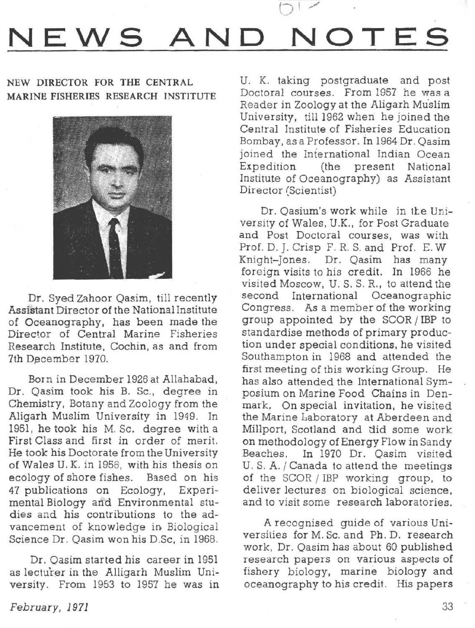## **NEWS AND NOTES**

## NEW DIRECTOR FOR THE CENTRAL MARINE FISHERIES RESEARCH INSTITUTE



Dr. Syed Zahoor Qasim, till recently Assistant Director of the National Institute of Oceanography, has been made the Director of Central Marine Fisheries Research Institute, Cochin, as and from 7th December 1970.

Born in December 1926 at Allahabad, Dr. Qasim took his B. Sc., degree in Chemistry, Botany and Zoology from the Aligarh Muslim University in 1949. In 1951, he took his M. Sc. degree with a First Class and first in order of merit. He took his Doctorate from the University of Wales U. K. in 1956, with his thesis on ecology of shore fishes. Based on his 47 publications on Ecology, Experimental Biology and Environmental studies and his contributions to the advancement of knowledge in Biological Science Dr. Qasim won his D.Sc, in 1968.

Dr. Qasim started his career in 1951 as lecturer in the Alligarh Muslim University. From 1953 to 1957 he was in

U. K. taking postgraduate and post Doctoral courses. From 1957 he was a Reader in Zoology at the Aligarh Mu'slim University, till 1962 when he joined the Central Institute of Fisheries Education Bombay, as a Professor. In 1964 Dr. Qasim joined the Iniernational Indian Ocean Expedition (the present National Institute of Oceanography) as Assistant Director (Scientist)

Dr. Oasium's work while in the University of Wales, U.K., for Post Graduate and Post Doctoral courses, was with Prof. D. J. Crisp F. R. S. and Prof. E. W Knight-Jones. Dr. Qasim has many foreign visits to his credit. In 1966 he visited Moscow, U. S. S. R., to attend the second International Oceanographic Congress. As a member of the working group appointed by the SCOR *I IBP* to standardise methods of primary production under special conditions, he visited Southampton in 1968 and attended the first meeting of this working Group. He has also attended the International Symposium on Marine Food Chains in Denmark, On special invitation, he visited the Marine Laboratory at Aberdeen and Millport, Scotland and did some work on methodology of Energy Flow in Sandy Beaches. In 1970 Dr. Qasim visited U. S. A. / Canada to attend the meetings of the SCOR / IBP working group, to deliver lectures on biological science, and to visit some research laboratories.

A recognised guide of various Universities for M. Sc. and Ph. D. research work, Dr. Qasim has about 60 published research papers on various aspects of fishery biology, marine biology and oceanography to his credit. His papers